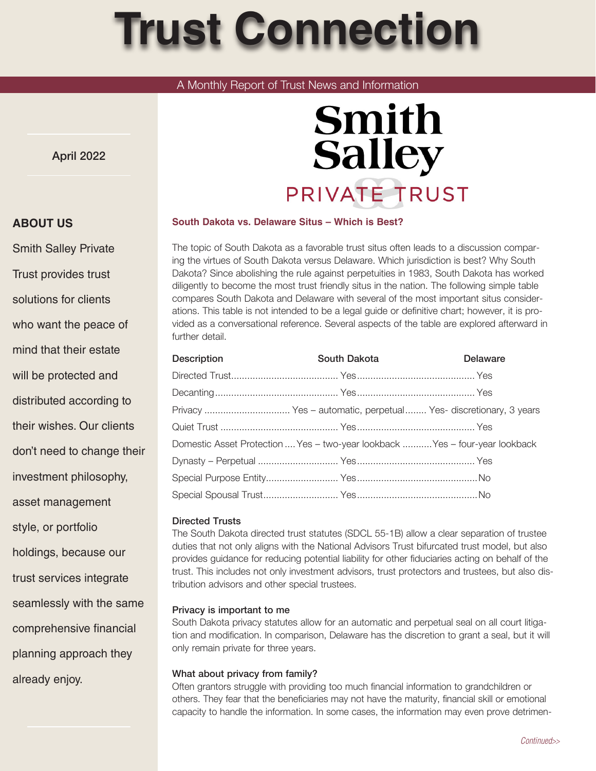# **Trust Connection**

# A Monthly Report of Trust News and Information

April 2022

# **Smith Salley** PRIVATE TRUST

# **South Dakota vs. Delaware Situs – Which is Best?**

The topic of South Dakota as a favorable trust situs often leads to a discussion comparing the virtues of South Dakota versus Delaware. Which jurisdiction is best? Why South Dakota? Since abolishing the rule against perpetuities in 1983, South Dakota has worked diligently to become the most trust friendly situs in the nation. The following simple table compares South Dakota and Delaware with several of the most important situs considerations. This table is not intended to be a legal guide or definitive chart; however, it is provided as a conversational reference. Several aspects of the table are explored afterward in further detail.

| <b>Description</b>                                               | South Dakota | <b>Delaware</b>                                                              |
|------------------------------------------------------------------|--------------|------------------------------------------------------------------------------|
|                                                                  |              |                                                                              |
|                                                                  |              |                                                                              |
| Privacy  Yes - automatic, perpetual  Yes- discretionary, 3 years |              |                                                                              |
|                                                                  |              |                                                                              |
|                                                                  |              | Domestic Asset Protection  Yes - two-year lookback  Yes - four-year lookback |
|                                                                  |              |                                                                              |
|                                                                  |              |                                                                              |
|                                                                  |              |                                                                              |

# Directed Trusts

The South Dakota directed trust statutes (SDCL 55-1B) allow a clear separation of trustee duties that not only aligns with the National Advisors Trust bifurcated trust model, but also provides guidance for reducing potential liability for other fiduciaries acting on behalf of the trust. This includes not only investment advisors, trust protectors and trustees, but also distribution advisors and other special trustees.

#### Privacy is important to me

South Dakota privacy statutes allow for an automatic and perpetual seal on all court litigation and modification. In comparison, Delaware has the discretion to grant a seal, but it will only remain private for three years.

#### What about privacy from family?

Often grantors struggle with providing too much financial information to grandchildren or others. They fear that the beneficiaries may not have the maturity, financial skill or emotional capacity to handle the information. In some cases, the information may even prove detrimen-

# **ABOUT US**

Smith Salley Private Trust provides trust solutions for clients who want the peace of mind that their estate will be protected and distributed according to their wishes. Our clients don't need to change their investment philosophy, asset management style, or portfolio holdings, because our trust services integrate seamlessly with the same comprehensive financial planning approach they already enjoy.